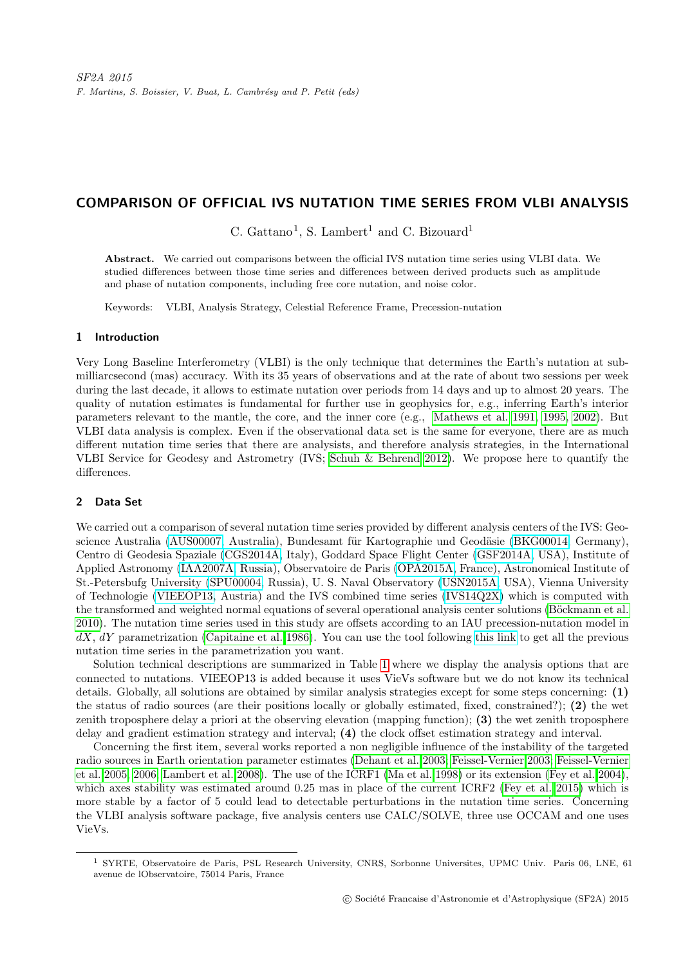# COMPARISON OF OFFICIAL IVS NUTATION TIME SERIES FROM VLBI ANALYSIS

C. Gattano<sup>1</sup>, S. Lambert<sup>1</sup> and C. Bizouard<sup>1</sup>

Abstract. We carried out comparisons between the official IVS nutation time series using VLBI data. We studied differences between those time series and differences between derived products such as amplitude and phase of nutation components, including free core nutation, and noise color.

Keywords: VLBI, Analysis Strategy, Celestial Reference Frame, Precession-nutation

## 1 Introduction

Very Long Baseline Interferometry (VLBI) is the only technique that determines the Earth's nutation at submilliarcsecond (mas) accuracy. With its 35 years of observations and at the rate of about two sessions per week during the last decade, it allows to estimate nutation over periods from 14 days and up to almost 20 years. The quality of nutation estimates is fundamental for further use in geophysics for, e.g., inferring Earth's interior parameters relevant to the mantle, the core, and the inner core (e.g., [Mathews et al. 1991,](#page-4-0) [1995,](#page-4-1) [2002\)](#page-4-2). But VLBI data analysis is complex. Even if the observational data set is the same for everyone, there are as much different nutation time series that there are analysists, and therefore analysis strategies, in the International VLBI Service for Geodesy and Astrometry (IVS; [Schuh & Behrend 2012\)](#page-4-3). We propose here to quantify the differences.

## 2 Data Set

We carried out a comparison of several nutation time series provided by different analysis centers of the IVS: Geo-science Australia [\(AUS00007,](ftp://ivsopar.obspm.fr/vlbi/ivsproducts/eops/aus00007.eops.gz) Australia), Bundesamt für Kartographie und Geodäsie [\(BKG00014,](ftp://ivsopar.obspm.fr/vlbi/ivsproducts/eops/bkg00014.eoxy.gz) Germany), Centro di Geodesia Spaziale [\(CGS2014A,](ftp://ivsopar.obspm.fr/vlbi/ivsproducts/eops/cgs2014a.eops.gz) Italy), Goddard Space Flight Center [\(GSF2014A,](ftp://ivsopar.obspm.fr/vlbi/ivsproducts/eops/gsf2014a.eoxy.gz) USA), Institute of Applied Astronomy [\(IAA2007A,](ftp://ivsopar.obspm.fr/vlbi/ivsproducts/eops/iaa2007a.eops.gz) Russia), Observatoire de Paris [\(OPA2015A,](ftp://ivsopar.obspm.fr/vlbi/ivsproducts/eops/opa2015a.eops.gz) France), Astronomical Institute of St.-Petersbufg University [\(SPU00004,](ftp://ivsopar.obspm.fr/vlbi/ivsproducts/eops/spu00004.eops) Russia), U. S. Naval Observatory [\(USN2015A,](ftp://ivsopar.obspm.fr/vlbi/ivsproducts/eops/usn2015a.eoxy.gz) USA), Vienna University of Technologie [\(VIEEOP13,](vievs.geo.tuwien.ac.at/lib/exe/fetch.php?media=public:vievs_products:VieEOP13.txt) Austria) and the IVS combined time series [\(IVS14Q2X\)](ftp://ivsopar.obspm.fr/vlbi/ivsproducts/eops/ivs14q2X.eops.gz) which is computed with the transformed and weighted normal equations of several operational analysis center solutions (Böckmann et al. [2010\)](#page-4-4). The nutation time series used in this study are offsets according to an IAU precession-nutation model in  $dX, dY$  parametrization [\(Capitaine et al. 1986\)](#page-4-5). You can use the tool following [this link](http://hpiers.obspm.fr/eop-pc/index.php?index=operational&lang=en) to get all the previous nutation time series in the parametrization you want.

Solution technical descriptions are summarized in Table [1](#page-1-0) where we display the analysis options that are connected to nutations. VIEEOP13 is added because it uses VieVs software but we do not know its technical details. Globally, all solutions are obtained by similar analysis strategies except for some steps concerning: (1) the status of radio sources (are their positions locally or globally estimated, fixed, constrained?); (2) the wet zenith troposphere delay a priori at the observing elevation (mapping function); (3) the wet zenith troposphere delay and gradient estimation strategy and interval; (4) the clock offset estimation strategy and interval.

Concerning the first item, several works reported a non negligible influence of the instability of the targeted radio sources in Earth orientation parameter estimates [\(Dehant et al. 2003;](#page-4-6) [Feissel-Vernier 2003;](#page-4-7) [Feissel-Vernier](#page-4-8) [et al. 2005,](#page-4-8) [2006;](#page-4-9) [Lambert et al. 2008\)](#page-4-10). The use of the ICRF1 [\(Ma et al. 1998\)](#page-4-11) or its extension [\(Fey et al. 2004\)](#page-4-12), which axes stability was estimated around 0.25 mas in place of the current ICRF2 [\(Fey et al. 2015\)](#page-4-13) which is more stable by a factor of 5 could lead to detectable perturbations in the nutation time series. Concerning the VLBI analysis software package, five analysis centers use CALC/SOLVE, three use OCCAM and one uses VieVs.

<sup>1</sup> SYRTE, Observatoire de Paris, PSL Research University, CNRS, Sorbonne Universites, UPMC Univ. Paris 06, LNE, 61 avenue de lObservatoire, 75014 Paris, France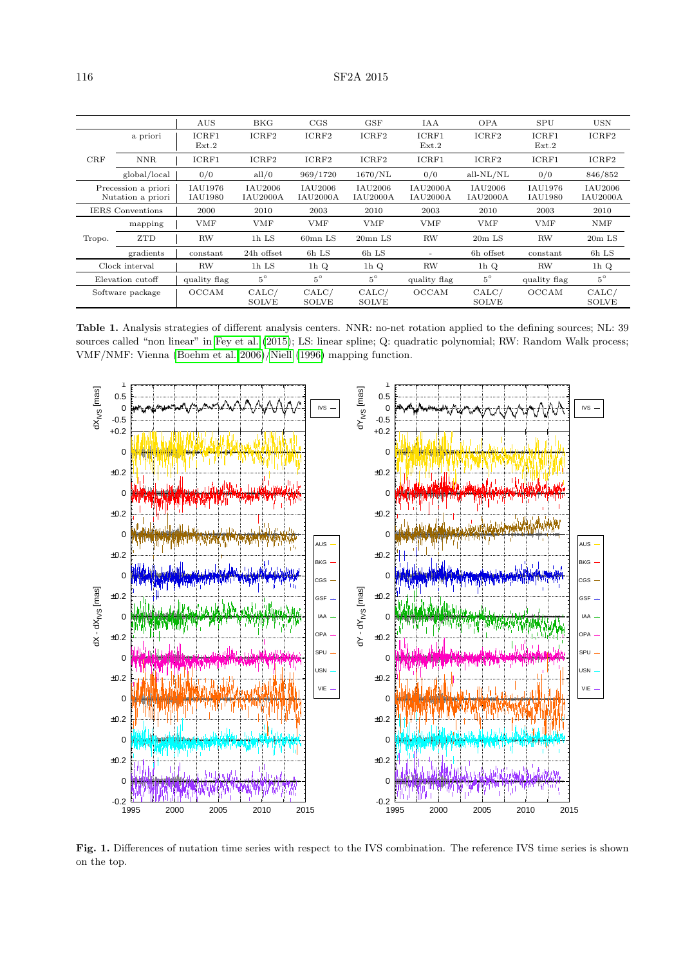|                                          |              | <b>AUS</b>         | BKG                        | $_{\rm CGS}$               | GSF                   | <b>IAA</b>                         | <b>OPA</b>                 | <b>SPU</b>         | <b>USN</b>                 |
|------------------------------------------|--------------|--------------------|----------------------------|----------------------------|-----------------------|------------------------------------|----------------------------|--------------------|----------------------------|
|                                          | a priori     | ICRF1<br>Ext.2     | ICRF2                      | ICRF2                      | ICRF2                 | ICRF1<br>Ext.2                     | ICRF2                      | ICRF1<br>Ext.2     | ICRF2                      |
| CRF                                      | <b>NNR</b>   | ICRF1              | ICRF2                      | ICRF2                      | ICRF2                 | ICRF1                              | ICRF2                      | ICRF1              | ICRF2                      |
|                                          | global/local | 0/0                | all/0                      | 969/1720                   | 1670/NL               | 0/0                                | $all-NL/NL$                | 0/0                | 846/852                    |
| Precession a priori<br>Nutation a priori |              | IAU1976<br>IAU1980 | IAU2006<br><b>IAU2000A</b> | IAU2006<br><b>IAU2000A</b> | IAU2006<br>IAU2000A   | <b>IAU2000A</b><br><b>IAU2000A</b> | IAU2006<br><b>IAU2000A</b> | IAU1976<br>IAU1980 | IAU2006<br><b>IAU2000A</b> |
| <b>IERS</b> Conventions                  |              | 2000               | 2010                       | 2003                       | 2010                  | 2003                               | 2010                       | 2003               | 2010                       |
| Tropo.                                   | mapping      | <b>VMF</b>         | <b>VMF</b>                 | VMF                        | <b>VMF</b>            | <b>VMF</b>                         | <b>VMF</b>                 | <b>VMF</b>         | <b>NMF</b>                 |
|                                          | <b>ZTD</b>   | <b>RW</b>          | 1h LS                      | $60\text{mn}$ LS           | $20mn$ LS             | <b>RW</b>                          | $20m$ LS                   | RW                 | $20m$ LS                   |
|                                          | gradients    | constant           | 24h offset                 | 6h LS                      | 6h LS                 | ۰                                  | 6h offset                  | constant           | 6h LS                      |
| Clock interval                           |              | <b>RW</b>          | 1h LS                      | 1 <sub>h</sub> Q           | 1 <sub>h</sub> Q      | <b>RW</b>                          | 1 <sub>h</sub> Q           | <b>RW</b>          | 1 $hQ$                     |
| Elevation cutoff                         |              | quality flag       | $5^{\circ}$                | $5^\circ$                  | $5^\circ$             | quality flag                       | $5^{\circ}$                | quality flag       | $5^{\circ}$                |
| Software package                         |              | <b>OCCAM</b>       | CALC/<br><b>SOLVE</b>      | CALC/<br><b>SOLVE</b>      | CALC/<br><b>SOLVE</b> | <b>OCCAM</b>                       | CALC/<br><b>SOLVE</b>      | OCCAM              | CALC/<br><b>SOLVE</b>      |

<span id="page-1-0"></span>Table 1. Analysis strategies of different analysis centers. NNR: no-net rotation applied to the defining sources; NL: 39 sources called "non linear" in [Fey et al.](#page-4-13) [\(2015\)](#page-4-13); LS: linear spline; Q: quadratic polynomial; RW: Random Walk process; VMF/NMF: Vienna [\(Boehm et al. 2006\)](#page-4-14)[/Niell](#page-4-15) [\(1996\)](#page-4-15) mapping function.



<span id="page-1-1"></span>Fig. 1. Differences of nutation time series with respect to the IVS combination. The reference IVS time series is shown on the top.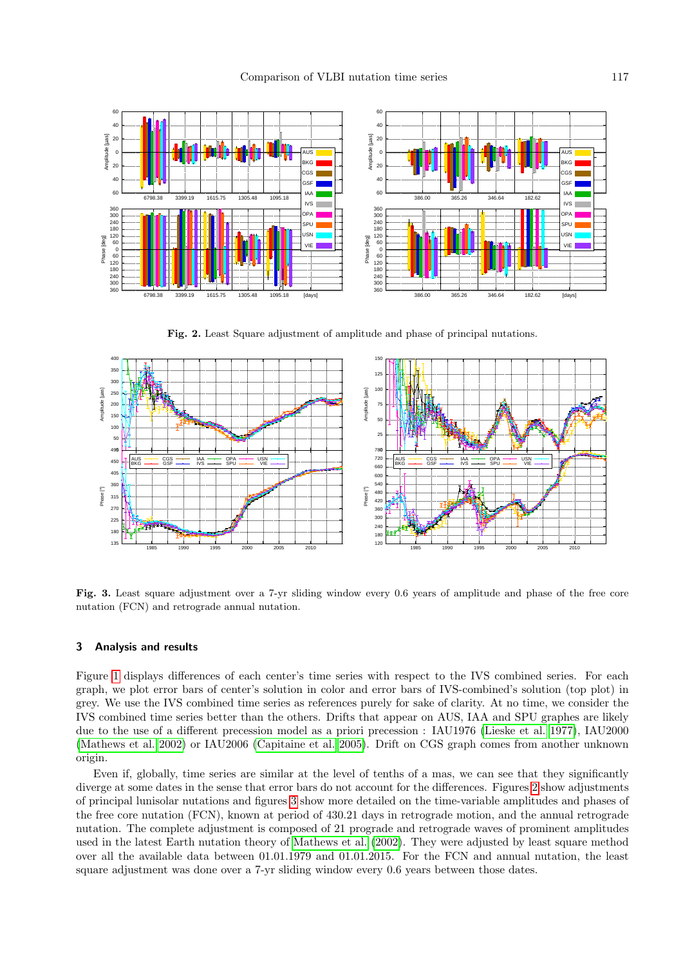

<span id="page-2-0"></span>Fig. 2. Least Square adjustment of amplitude and phase of principal nutations.



<span id="page-2-1"></span>Fig. 3. Least square adjustment over a 7-yr sliding window every 0.6 years of amplitude and phase of the free core nutation (FCN) and retrograde annual nutation.

# 3 Analysis and results

Figure [1](#page-1-1) displays differences of each center's time series with respect to the IVS combined series. For each graph, we plot error bars of center's solution in color and error bars of IVS-combined's solution (top plot) in grey. We use the IVS combined time series as references purely for sake of clarity. At no time, we consider the IVS combined time series better than the others. Drifts that appear on AUS, IAA and SPU graphes are likely due to the use of a different precession model as a priori precession : IAU1976 [\(Lieske et al. 1977\)](#page-4-16), IAU2000 [\(Mathews et al. 2002\)](#page-4-2) or IAU2006 [\(Capitaine et al. 2005\)](#page-4-17). Drift on CGS graph comes from another unknown origin.

Even if, globally, time series are similar at the level of tenths of a mas, we can see that they significantly diverge at some dates in the sense that error bars do not account for the differences. Figures [2](#page-2-0) show adjustments of principal lunisolar nutations and figures [3](#page-2-1) show more detailed on the time-variable amplitudes and phases of the free core nutation (FCN), known at period of 430.21 days in retrograde motion, and the annual retrograde nutation. The complete adjustment is composed of 21 prograde and retrograde waves of prominent amplitudes used in the latest Earth nutation theory of [Mathews et al.](#page-4-2) [\(2002\)](#page-4-2). They were adjusted by least square method over all the available data between 01.01.1979 and 01.01.2015. For the FCN and annual nutation, the least square adjustment was done over a 7-yr sliding window every 0.6 years between those dates.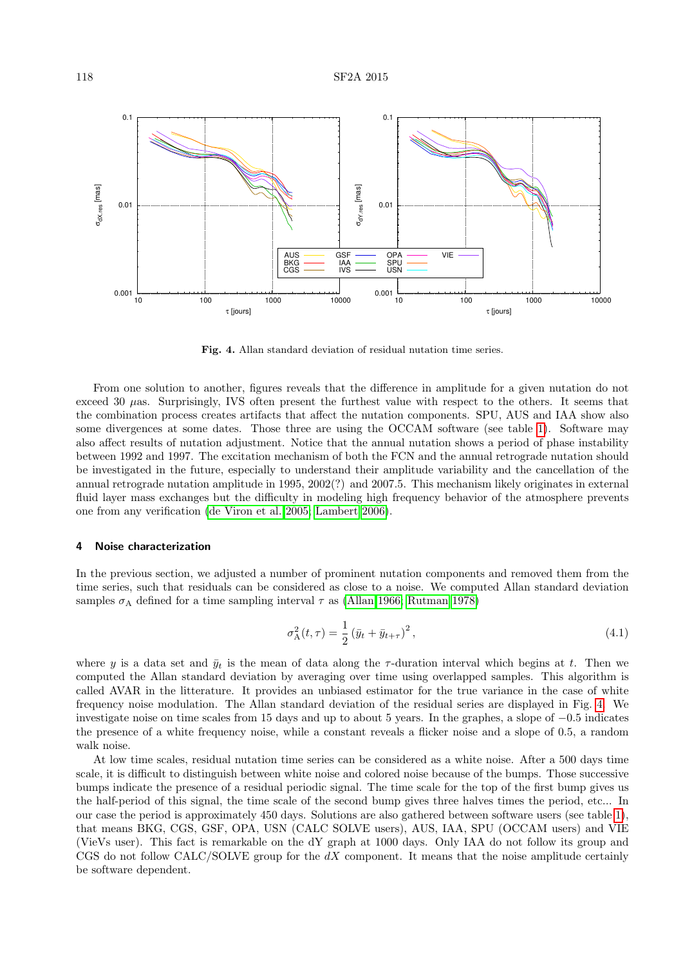

<span id="page-3-0"></span>Fig. 4. Allan standard deviation of residual nutation time series.

From one solution to another, figures reveals that the difference in amplitude for a given nutation do not exceed 30 µas. Surprisingly, IVS often present the furthest value with respect to the others. It seems that the combination process creates artifacts that affect the nutation components. SPU, AUS and IAA show also some divergences at some dates. Those three are using the OCCAM software (see table [1\)](#page-1-0). Software may also affect results of nutation adjustment. Notice that the annual nutation shows a period of phase instability between 1992 and 1997. The excitation mechanism of both the FCN and the annual retrograde nutation should be investigated in the future, especially to understand their amplitude variability and the cancellation of the annual retrograde nutation amplitude in 1995, 2002(?) and 2007.5. This mechanism likely originates in external fluid layer mass exchanges but the difficulty in modeling high frequency behavior of the atmosphere prevents one from any verification [\(de Viron et al. 2005;](#page-4-18) [Lambert 2006\)](#page-4-19).

#### 4 Noise characterization

In the previous section, we adjusted a number of prominent nutation components and removed them from the time series, such that residuals can be considered as close to a noise. We computed Allan standard deviation samples  $\sigma_A$  defined for a time sampling interval  $\tau$  as [\(Allan 1966;](#page-4-20) [Rutman 1978\)](#page-4-21)

$$
\sigma_{A}^{2}(t,\tau) = \frac{1}{2} (\bar{y}_{t} + \bar{y}_{t+\tau})^{2}, \qquad (4.1)
$$

where y is a data set and  $\bar{y}_t$  is the mean of data along the  $\tau$ -duration interval which begins at t. Then we computed the Allan standard deviation by averaging over time using overlapped samples. This algorithm is called AVAR in the litterature. It provides an unbiased estimator for the true variance in the case of white frequency noise modulation. The Allan standard deviation of the residual series are displayed in Fig. [4.](#page-3-0) We investigate noise on time scales from 15 days and up to about 5 years. In the graphes, a slope of −0.5 indicates the presence of a white frequency noise, while a constant reveals a flicker noise and a slope of 0.5, a random walk noise.

At low time scales, residual nutation time series can be considered as a white noise. After a 500 days time scale, it is difficult to distinguish between white noise and colored noise because of the bumps. Those successive bumps indicate the presence of a residual periodic signal. The time scale for the top of the first bump gives us the half-period of this signal, the time scale of the second bump gives three halves times the period, etc... In our case the period is approximately 450 days. Solutions are also gathered between software users (see table [1\)](#page-1-0), that means BKG, CGS, GSF, OPA, USN (CALC SOLVE users), AUS, IAA, SPU (OCCAM users) and VIE (VieVs user). This fact is remarkable on the dY graph at 1000 days. Only IAA do not follow its group and CGS do not follow CALC/SOLVE group for the  $dX$  component. It means that the noise amplitude certainly be software dependent.